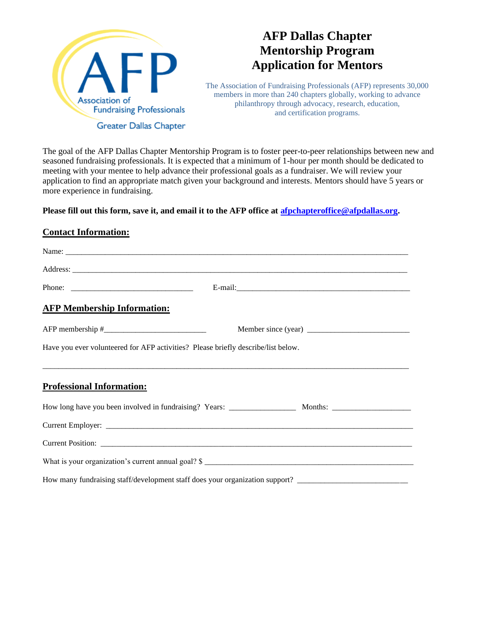

## **AFP Dallas Chapter Mentorship Program Application for Mentors**

The Association of Fundraising Professionals (AFP) represents 30,000 members in more than 240 chapters globally, working to advance philanthropy through advocacy, research, education, and certification programs.

The goal of the AFP Dallas Chapter Mentorship Program is to foster peer-to-peer relationships between new and seasoned fundraising professionals. It is expected that a minimum of 1-hour per month should be dedicated to meeting with your mentee to help advance their professional goals as a fundraiser. We will review your application to find an appropriate match given your background and interests. Mentors should have 5 years or more experience in fundraising.

**Please fill out this form, save it, and email it to the AFP office at [afpchapteroffice@afpdallas.org.](mailto:afpchapteroffice@afpdallas.org)** 

## **Contact Information:**

| <b>AFP Membership Information:</b> |                                                                                                                |  |  |
|------------------------------------|----------------------------------------------------------------------------------------------------------------|--|--|
|                                    |                                                                                                                |  |  |
|                                    | Have you ever volunteered for AFP activities? Please briefly describe/list below.                              |  |  |
|                                    |                                                                                                                |  |  |
| <b>Professional Information:</b>   |                                                                                                                |  |  |
|                                    |                                                                                                                |  |  |
|                                    |                                                                                                                |  |  |
|                                    |                                                                                                                |  |  |
|                                    |                                                                                                                |  |  |
|                                    | How many fundraising staff/development staff does your organization support? _________________________________ |  |  |